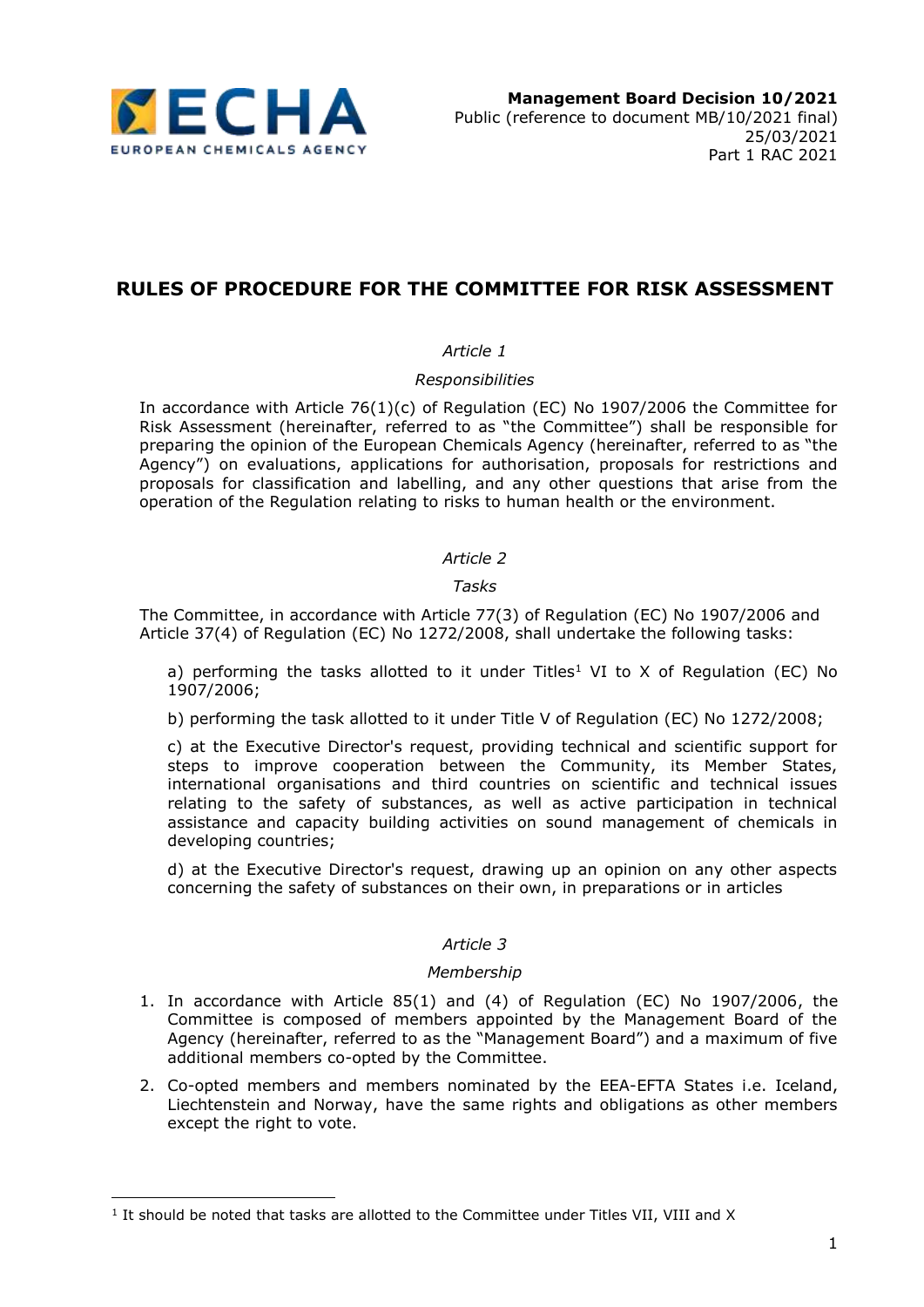

# **RULES OF PROCEDURE FOR THE COMMITTEE FOR RISK ASSESSMENT**

# *Article 1*

## *Responsibilities*

In accordance with Article 76(1)(c) of Regulation (EC) No 1907/2006 the Committee for Risk Assessment (hereinafter, referred to as "the Committee") shall be responsible for preparing the opinion of the European Chemicals Agency (hereinafter, referred to as "the Agency") on evaluations, applications for authorisation, proposals for restrictions and proposals for classification and labelling, and any other questions that arise from the operation of the Regulation relating to risks to human health or the environment.

### *Article 2*

### *Tasks*

The Committee, in accordance with Article 77(3) of Regulation (EC) No 1907/2006 and Article 37(4) of Regulation (EC) No 1272/2008, shall undertake the following tasks:

a) performing the tasks allotted to it under Titles<sup>1</sup> VI to X of Regulation (EC) No 1907/2006;

b) performing the task allotted to it under Title V of Regulation (EC) No 1272/2008;

c) at the Executive Director's request, providing technical and scientific support for steps to improve cooperation between the Community, its Member States, international organisations and third countries on scientific and technical issues relating to the safety of substances, as well as active participation in technical assistance and capacity building activities on sound management of chemicals in developing countries;

d) at the Executive Director's request, drawing up an opinion on any other aspects concerning the safety of substances on their own, in preparations or in articles

### *Article 3*

### *Membership*

- 1. In accordance with Article 85(1) and (4) of Regulation (EC) No 1907/2006, the Committee is composed of members appointed by the Management Board of the Agency (hereinafter, referred to as the "Management Board") and a maximum of five additional members co-opted by the Committee.
- 2. Co-opted members and members nominated by the EEA-EFTA States i.e. Iceland, Liechtenstein and Norway, have the same rights and obligations as other members except the right to vote.

1

<sup>&</sup>lt;sup>1</sup> It should be noted that tasks are allotted to the Committee under Titles VII, VIII and X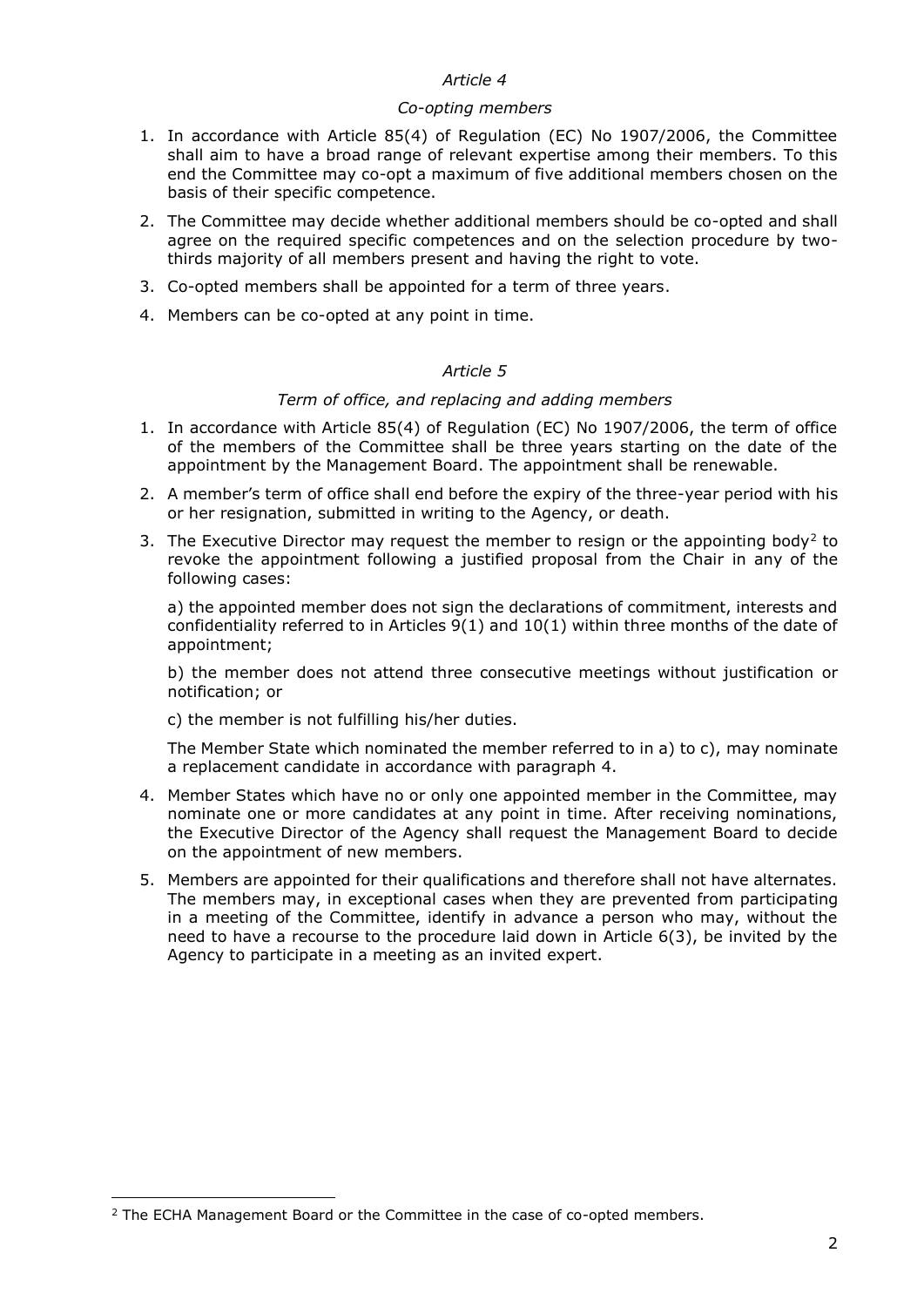#### *Co-opting members*

- 1. In accordance with Article 85(4) of Regulation (EC) No 1907/2006, the Committee shall aim to have a broad range of relevant expertise among their members. To this end the Committee may co-opt a maximum of five additional members chosen on the basis of their specific competence.
- 2. The Committee may decide whether additional members should be co-opted and shall agree on the required specific competences and on the selection procedure by twothirds majority of all members present and having the right to vote.
- 3. Co-opted members shall be appointed for a term of three years.
- 4. Members can be co-opted at any point in time.

### *Article 5*

### *Term of office, and replacing and adding members*

- 1. In accordance with Article 85(4) of Regulation (EC) No 1907/2006, the term of office of the members of the Committee shall be three years starting on the date of the appointment by the Management Board. The appointment shall be renewable.
- 2. A member's term of office shall end before the expiry of the three-year period with his or her resignation, submitted in writing to the Agency, or death.
- 3. The Executive Director may request the member to resign or the appointing body<sup>2</sup> to revoke the appointment following a justified proposal from the Chair in any of the following cases:

a) the appointed member does not sign the declarations of commitment, interests and confidentiality referred to in Articles 9(1) and 10(1) within three months of the date of appointment;

b) the member does not attend three consecutive meetings without justification or notification; or

c) the member is not fulfilling his/her duties.

The Member State which nominated the member referred to in a) to c), may nominate a replacement candidate in accordance with paragraph 4.

- 4. Member States which have no or only one appointed member in the Committee, may nominate one or more candidates at any point in time. After receiving nominations, the Executive Director of the Agency shall request the Management Board to decide on the appointment of new members.
- 5. Members are appointed for their qualifications and therefore shall not have alternates. The members may, in exceptional cases when they are prevented from participating in a meeting of the Committee, identify in advance a person who may, without the need to have a recourse to the procedure laid down in Article 6(3), be invited by the Agency to participate in a meeting as an invited expert.

1

<sup>&</sup>lt;sup>2</sup> The ECHA Management Board or the Committee in the case of co-opted members.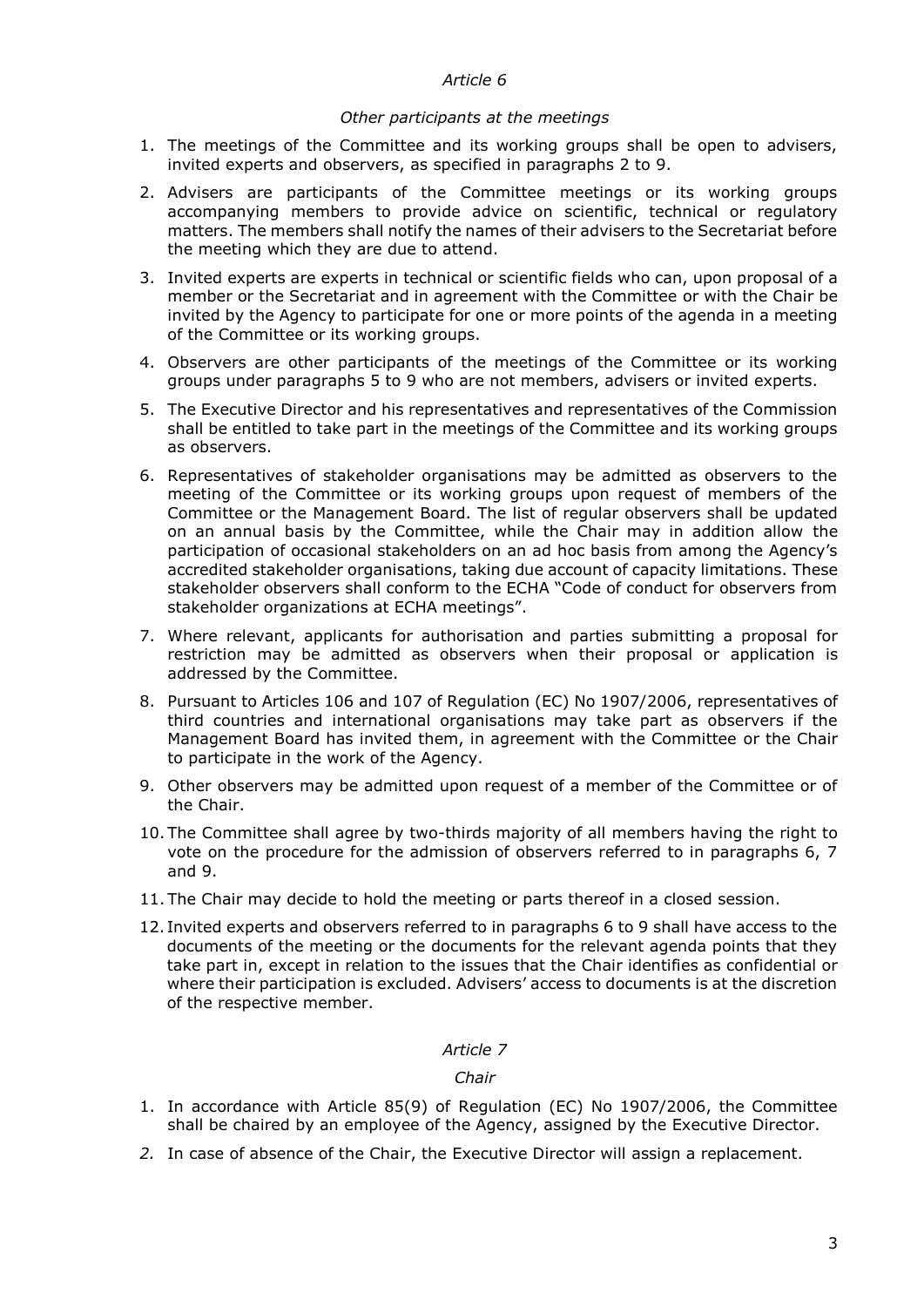#### *Other participants at the meetings*

- 1. The meetings of the Committee and its working groups shall be open to advisers, invited experts and observers, as specified in paragraphs 2 to 9.
- 2. Advisers are participants of the Committee meetings or its working groups accompanying members to provide advice on scientific, technical or regulatory matters. The members shall notify the names of their advisers to the Secretariat before the meeting which they are due to attend.
- 3. Invited experts are experts in technical or scientific fields who can, upon proposal of a member or the Secretariat and in agreement with the Committee or with the Chair be invited by the Agency to participate for one or more points of the agenda in a meeting of the Committee or its working groups.
- 4. Observers are other participants of the meetings of the Committee or its working groups under paragraphs 5 to 9 who are not members, advisers or invited experts.
- 5. The Executive Director and his representatives and representatives of the Commission shall be entitled to take part in the meetings of the Committee and its working groups as observers.
- 6. Representatives of stakeholder organisations may be admitted as observers to the meeting of the Committee or its working groups upon request of members of the Committee or the Management Board. The list of regular observers shall be updated on an annual basis by the Committee, while the Chair may in addition allow the participation of occasional stakeholders on an ad hoc basis from among the Agency's accredited stakeholder organisations, taking due account of capacity limitations. These stakeholder observers shall conform to the ECHA "Code of conduct for observers from stakeholder organizations at ECHA meetings".
- 7. Where relevant, applicants for authorisation and parties submitting a proposal for restriction may be admitted as observers when their proposal or application is addressed by the Committee.
- 8. Pursuant to Articles 106 and 107 of Regulation (EC) No 1907/2006, representatives of third countries and international organisations may take part as observers if the Management Board has invited them, in agreement with the Committee or the Chair to participate in the work of the Agency.
- 9. Other observers may be admitted upon request of a member of the Committee or of the Chair.
- 10. The Committee shall agree by two-thirds majority of all members having the right to vote on the procedure for the admission of observers referred to in paragraphs 6, 7 and 9.
- 11. The Chair may decide to hold the meeting or parts thereof in a closed session.
- 12. Invited experts and observers referred to in paragraphs 6 to 9 shall have access to the documents of the meeting or the documents for the relevant agenda points that they take part in, except in relation to the issues that the Chair identifies as confidential or where their participation is excluded. Advisers' access to documents is at the discretion of the respective member.

#### *Article 7*

### *Chair*

- 1. In accordance with Article 85(9) of Regulation (EC) No 1907/2006, the Committee shall be chaired by an employee of the Agency, assigned by the Executive Director.
- *2.* In case of absence of the Chair, the Executive Director will assign a replacement.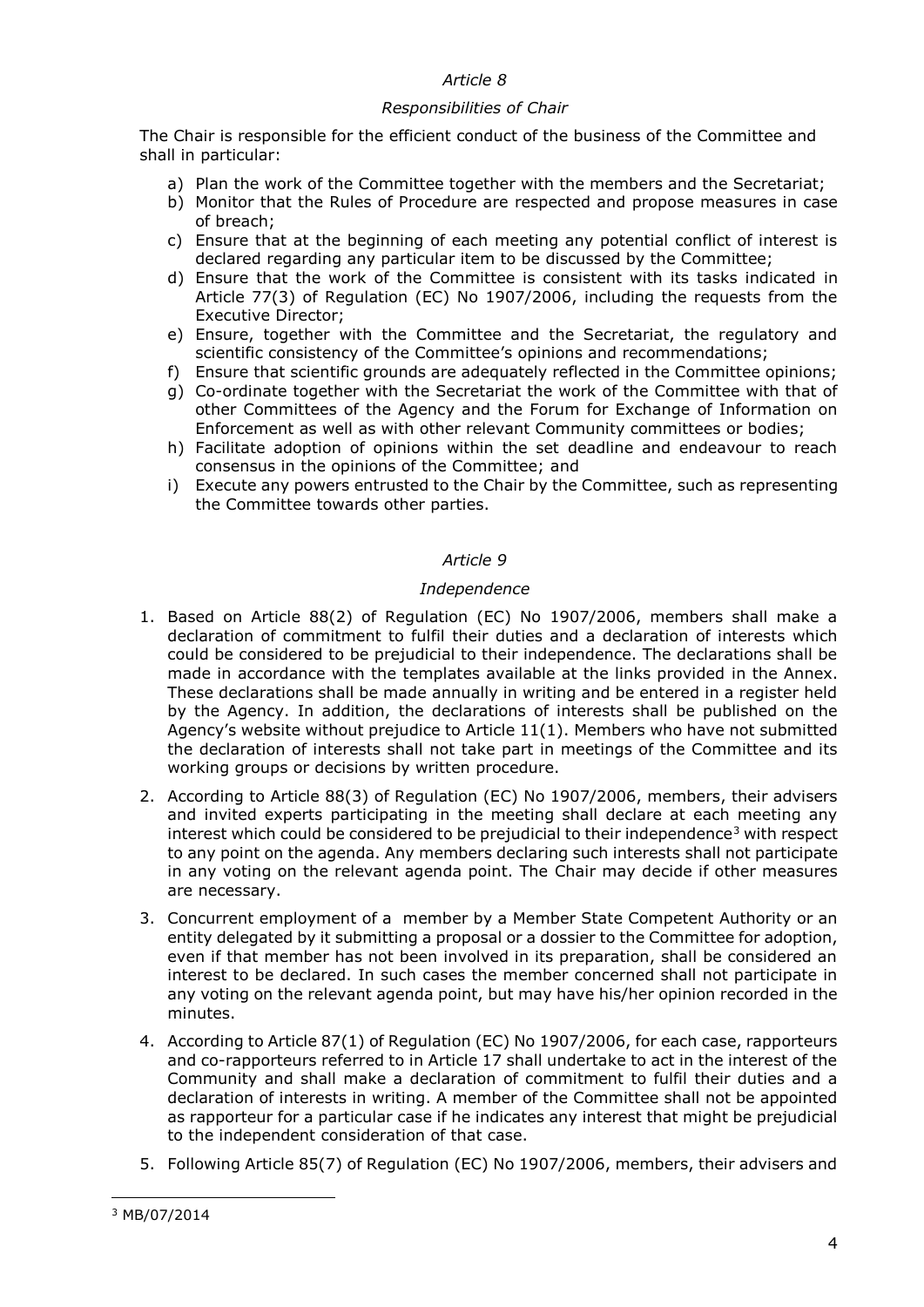### *Responsibilities of Chair*

The Chair is responsible for the efficient conduct of the business of the Committee and shall in particular:

- a) Plan the work of the Committee together with the members and the Secretariat;
- b) Monitor that the Rules of Procedure are respected and propose measures in case of breach;
- c) Ensure that at the beginning of each meeting any potential conflict of interest is declared regarding any particular item to be discussed by the Committee;
- d) Ensure that the work of the Committee is consistent with its tasks indicated in Article 77(3) of Regulation (EC) No 1907/2006, including the requests from the Executive Director;
- e) Ensure, together with the Committee and the Secretariat, the regulatory and scientific consistency of the Committee's opinions and recommendations;
- f) Ensure that scientific grounds are adequately reflected in the Committee opinions;
- g) Co-ordinate together with the Secretariat the work of the Committee with that of other Committees of the Agency and the Forum for Exchange of Information on Enforcement as well as with other relevant Community committees or bodies;
- h) Facilitate adoption of opinions within the set deadline and endeavour to reach consensus in the opinions of the Committee; and
- i) Execute any powers entrusted to the Chair by the Committee, such as representing the Committee towards other parties.

## *Article 9*

## *Independence*

- 1. Based on Article 88(2) of Regulation (EC) No 1907/2006, members shall make a declaration of commitment to fulfil their duties and a declaration of interests which could be considered to be prejudicial to their independence. The declarations shall be made in accordance with the templates available at the links provided in the Annex. These declarations shall be made annually in writing and be entered in a register held by the Agency. In addition, the declarations of interests shall be published on the Agency's website without prejudice to Article 11(1). Members who have not submitted the declaration of interests shall not take part in meetings of the Committee and its working groups or decisions by written procedure.
- 2. According to Article 88(3) of Regulation (EC) No 1907/2006, members, their advisers and invited experts participating in the meeting shall declare at each meeting any interest which could be considered to be prejudicial to their independence<sup>3</sup> with respect to any point on the agenda. Any members declaring such interests shall not participate in any voting on the relevant agenda point. The Chair may decide if other measures are necessary.
- 3. Concurrent employment of a member by a Member State Competent Authority or an entity delegated by it submitting a proposal or a dossier to the Committee for adoption, even if that member has not been involved in its preparation, shall be considered an interest to be declared. In such cases the member concerned shall not participate in any voting on the relevant agenda point, but may have his/her opinion recorded in the minutes.
- 4. According to Article 87(1) of Regulation (EC) No 1907/2006, for each case, rapporteurs and co-rapporteurs referred to in Article 17 shall undertake to act in the interest of the Community and shall make a declaration of commitment to fulfil their duties and a declaration of interests in writing. A member of the Committee shall not be appointed as rapporteur for a particular case if he indicates any interest that might be prejudicial to the independent consideration of that case.
- 5. Following Article 85(7) of Regulation (EC) No 1907/2006, members, their advisers and

1

<sup>3</sup> MB/07/2014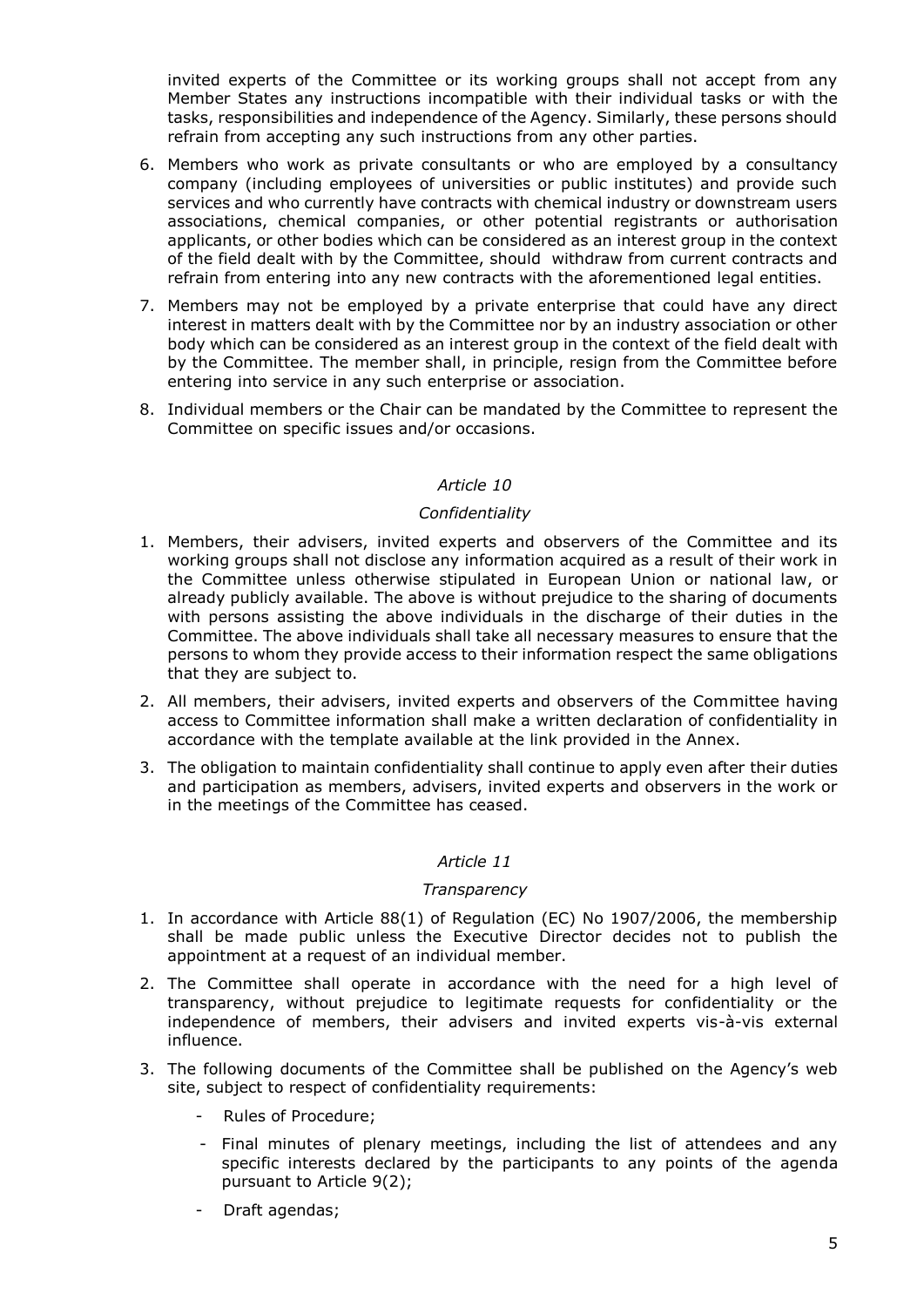invited experts of the Committee or its working groups shall not accept from any Member States any instructions incompatible with their individual tasks or with the tasks, responsibilities and independence of the Agency. Similarly, these persons should refrain from accepting any such instructions from any other parties.

- 6. Members who work as private consultants or who are employed by a consultancy company (including employees of universities or public institutes) and provide such services and who currently have contracts with chemical industry or downstream users associations, chemical companies, or other potential registrants or authorisation applicants, or other bodies which can be considered as an interest group in the context of the field dealt with by the Committee, should withdraw from current contracts and refrain from entering into any new contracts with the aforementioned legal entities.
- 7. Members may not be employed by a private enterprise that could have any direct interest in matters dealt with by the Committee nor by an industry association or other body which can be considered as an interest group in the context of the field dealt with by the Committee. The member shall, in principle, resign from the Committee before entering into service in any such enterprise or association.
- 8. Individual members or the Chair can be mandated by the Committee to represent the Committee on specific issues and/or occasions.

## *Article 10*

### *Confidentiality*

- 1. Members, their advisers, invited experts and observers of the Committee and its working groups shall not disclose any information acquired as a result of their work in the Committee unless otherwise stipulated in European Union or national law, or already publicly available. The above is without prejudice to the sharing of documents with persons assisting the above individuals in the discharge of their duties in the Committee. The above individuals shall take all necessary measures to ensure that the persons to whom they provide access to their information respect the same obligations that they are subject to.
- 2. All members, their advisers, invited experts and observers of the Committee having access to Committee information shall make a written declaration of confidentiality in accordance with the template available at the link provided in the Annex.
- 3. The obligation to maintain confidentiality shall continue to apply even after their duties and participation as members, advisers, invited experts and observers in the work or in the meetings of the Committee has ceased.

### *Article 11*

### *Transparency*

- 1. In accordance with Article 88(1) of Regulation (EC) No 1907/2006, the membership shall be made public unless the Executive Director decides not to publish the appointment at a request of an individual member.
- 2. The Committee shall operate in accordance with the need for a high level of transparency, without prejudice to legitimate requests for confidentiality or the independence of members, their advisers and invited experts vis-à-vis external influence.
- 3. The following documents of the Committee shall be published on the Agency's web site, subject to respect of confidentiality requirements:
	- Rules of Procedure;
	- Final minutes of plenary meetings, including the list of attendees and any specific interests declared by the participants to any points of the agenda pursuant to Article 9(2);
	- Draft agendas;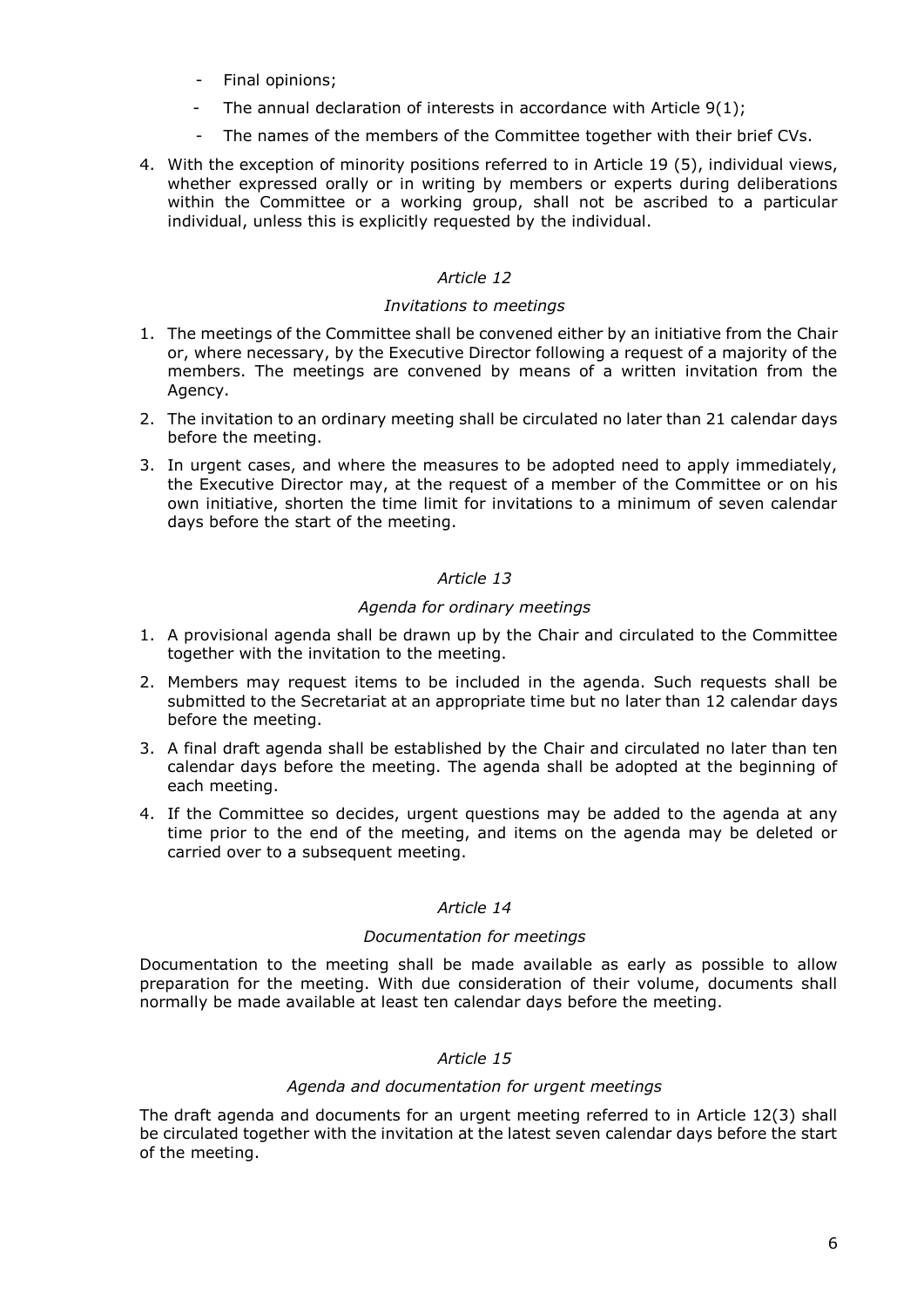- Final opinions;
- The annual declaration of interests in accordance with Article  $9(1)$ ;
- The names of the members of the Committee together with their brief CVs.
- 4. With the exception of minority positions referred to in Article 19 (5), individual views, whether expressed orally or in writing by members or experts during deliberations within the Committee or a working group, shall not be ascribed to a particular individual, unless this is explicitly requested by the individual.

## *Invitations to meetings*

- 1. The meetings of the Committee shall be convened either by an initiative from the Chair or, where necessary, by the Executive Director following a request of a majority of the members. The meetings are convened by means of a written invitation from the Agency.
- 2. The invitation to an ordinary meeting shall be circulated no later than 21 calendar days before the meeting.
- 3. In urgent cases, and where the measures to be adopted need to apply immediately, the Executive Director may, at the request of a member of the Committee or on his own initiative, shorten the time limit for invitations to a minimum of seven calendar days before the start of the meeting.

# *Article 13*

# *Agenda for ordinary meetings*

- 1. A provisional agenda shall be drawn up by the Chair and circulated to the Committee together with the invitation to the meeting.
- 2. Members may request items to be included in the agenda. Such requests shall be submitted to the Secretariat at an appropriate time but no later than 12 calendar days before the meeting.
- 3. A final draft agenda shall be established by the Chair and circulated no later than ten calendar days before the meeting. The agenda shall be adopted at the beginning of each meeting.
- 4. If the Committee so decides, urgent questions may be added to the agenda at any time prior to the end of the meeting, and items on the agenda may be deleted or carried over to a subsequent meeting.

# *Article 14*

# *Documentation for meetings*

Documentation to the meeting shall be made available as early as possible to allow preparation for the meeting. With due consideration of their volume, documents shall normally be made available at least ten calendar days before the meeting.

# *Article 15*

### *Agenda and documentation for urgent meetings*

The draft agenda and documents for an urgent meeting referred to in Article 12(3) shall be circulated together with the invitation at the latest seven calendar days before the start of the meeting.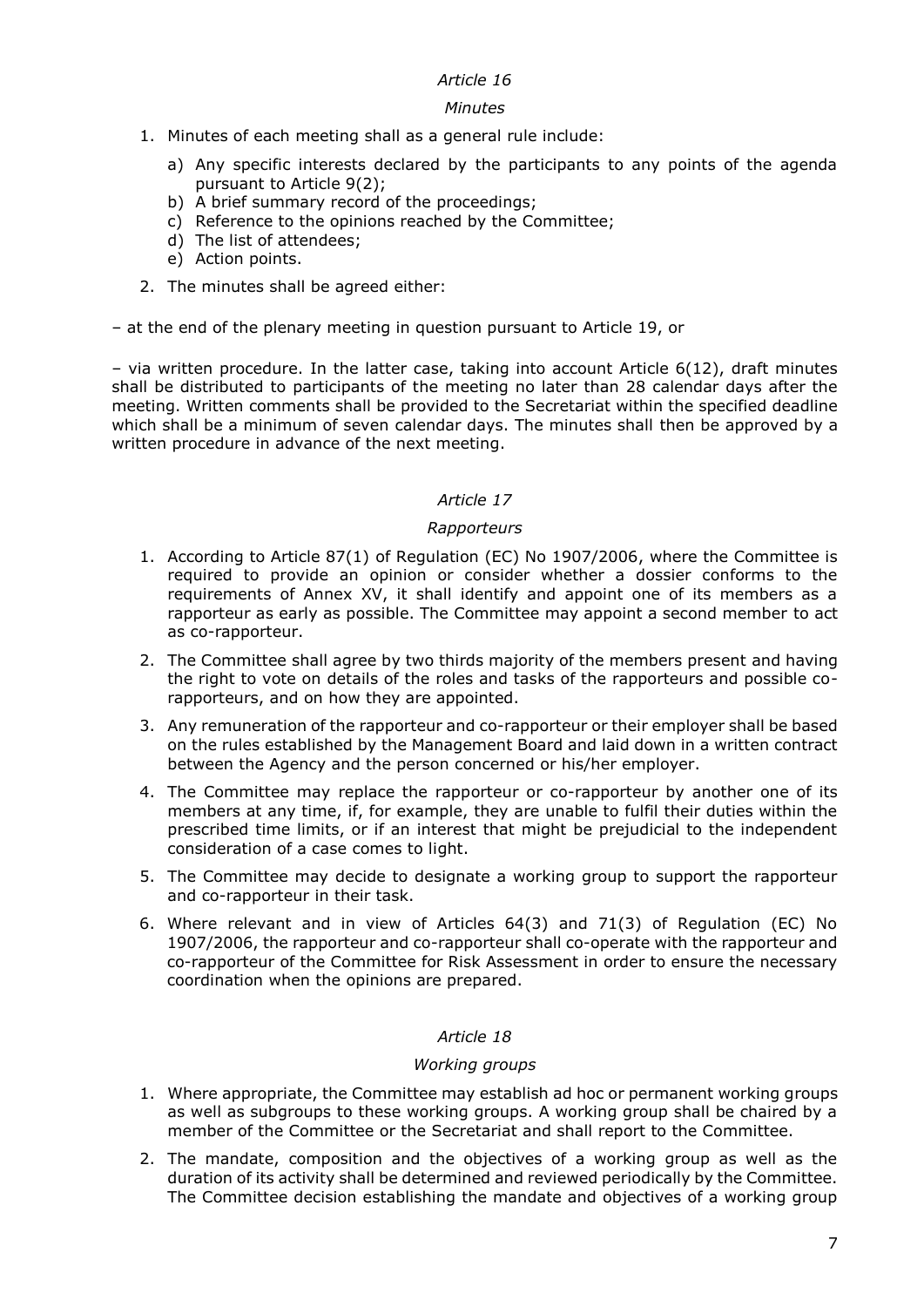### *Minutes*

- 1. Minutes of each meeting shall as a general rule include:
	- a) Any specific interests declared by the participants to any points of the agenda pursuant to Article 9(2);
	- b) A brief summary record of the proceedings;
	- c) Reference to the opinions reached by the Committee;
	- d) The list of attendees;
	- e) Action points.
- 2. The minutes shall be agreed either:

– at the end of the plenary meeting in question pursuant to Article 19, or

– via written procedure. In the latter case, taking into account Article 6(12), draft minutes shall be distributed to participants of the meeting no later than 28 calendar days after the meeting. Written comments shall be provided to the Secretariat within the specified deadline which shall be a minimum of seven calendar days. The minutes shall then be approved by a written procedure in advance of the next meeting.

## *Article 17*

## *Rapporteurs*

- 1. According to Article 87(1) of Regulation (EC) No 1907/2006, where the Committee is required to provide an opinion or consider whether a dossier conforms to the requirements of Annex XV, it shall identify and appoint one of its members as a rapporteur as early as possible. The Committee may appoint a second member to act as co-rapporteur.
- 2. The Committee shall agree by two thirds majority of the members present and having the right to vote on details of the roles and tasks of the rapporteurs and possible corapporteurs, and on how they are appointed.
- 3. Any remuneration of the rapporteur and co-rapporteur or their employer shall be based on the rules established by the Management Board and laid down in a written contract between the Agency and the person concerned or his/her employer.
- 4. The Committee may replace the rapporteur or co-rapporteur by another one of its members at any time, if, for example, they are unable to fulfil their duties within the prescribed time limits, or if an interest that might be prejudicial to the independent consideration of a case comes to light.
- 5. The Committee may decide to designate a working group to support the rapporteur and co-rapporteur in their task.
- 6. Where relevant and in view of Articles 64(3) and 71(3) of Regulation (EC) No 1907/2006, the rapporteur and co-rapporteur shall co-operate with the rapporteur and co-rapporteur of the Committee for Risk Assessment in order to ensure the necessary coordination when the opinions are prepared.

### *Article 18*

### *Working groups*

- 1. Where appropriate, the Committee may establish ad hoc or permanent working groups as well as subgroups to these working groups. A working group shall be chaired by a member of the Committee or the Secretariat and shall report to the Committee.
- 2. The mandate, composition and the objectives of a working group as well as the duration of its activity shall be determined and reviewed periodically by the Committee. The Committee decision establishing the mandate and objectives of a working group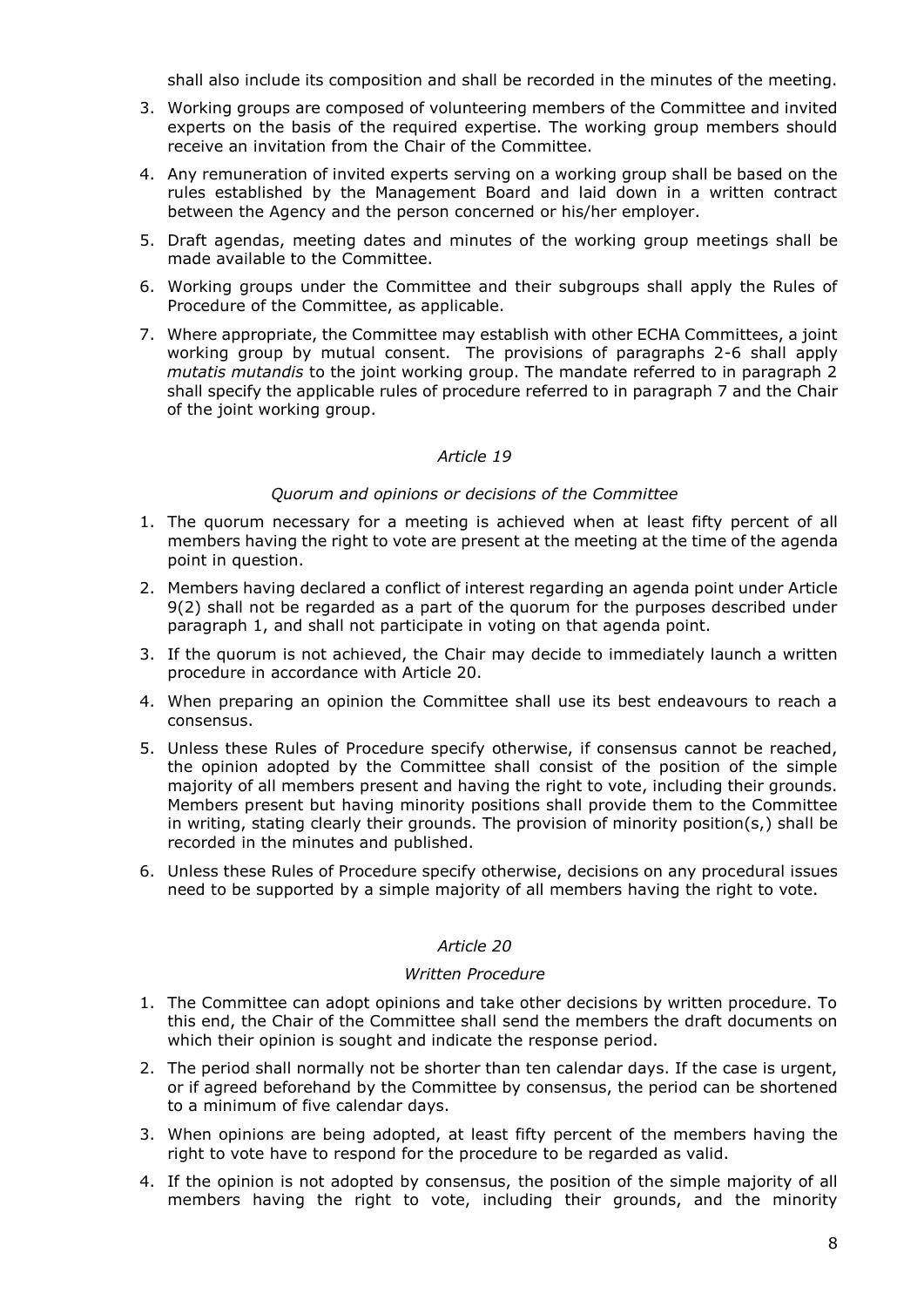shall also include its composition and shall be recorded in the minutes of the meeting.

- 3. Working groups are composed of volunteering members of the Committee and invited experts on the basis of the required expertise. The working group members should receive an invitation from the Chair of the Committee.
- 4. Any remuneration of invited experts serving on a working group shall be based on the rules established by the Management Board and laid down in a written contract between the Agency and the person concerned or his/her employer.
- 5. Draft agendas, meeting dates and minutes of the working group meetings shall be made available to the Committee.
- 6. Working groups under the Committee and their subgroups shall apply the Rules of Procedure of the Committee, as applicable.
- 7. Where appropriate, the Committee may establish with other ECHA Committees, a joint working group by mutual consent. The provisions of paragraphs 2-6 shall apply *mutatis mutandis* to the joint working group. The mandate referred to in paragraph 2 shall specify the applicable rules of procedure referred to in paragraph 7 and the Chair of the joint working group.

### *Article 19*

### *Quorum and opinions or decisions of the Committee*

- 1. The quorum necessary for a meeting is achieved when at least fifty percent of all members having the right to vote are present at the meeting at the time of the agenda point in question.
- 2. Members having declared a conflict of interest regarding an agenda point under Article 9(2) shall not be regarded as a part of the quorum for the purposes described under paragraph 1, and shall not participate in voting on that agenda point.
- 3. If the quorum is not achieved, the Chair may decide to immediately launch a written procedure in accordance with Article 20.
- 4. When preparing an opinion the Committee shall use its best endeavours to reach a consensus.
- 5. Unless these Rules of Procedure specify otherwise, if consensus cannot be reached, the opinion adopted by the Committee shall consist of the position of the simple majority of all members present and having the right to vote, including their grounds. Members present but having minority positions shall provide them to the Committee in writing, stating clearly their grounds. The provision of minority position(s,) shall be recorded in the minutes and published.
- 6. Unless these Rules of Procedure specify otherwise, decisions on any procedural issues need to be supported by a simple majority of all members having the right to vote.

### *Article 20*

#### *Written Procedure*

- 1. The Committee can adopt opinions and take other decisions by written procedure. To this end, the Chair of the Committee shall send the members the draft documents on which their opinion is sought and indicate the response period.
- 2. The period shall normally not be shorter than ten calendar days. If the case is urgent, or if agreed beforehand by the Committee by consensus, the period can be shortened to a minimum of five calendar days.
- 3. When opinions are being adopted, at least fifty percent of the members having the right to vote have to respond for the procedure to be regarded as valid.
- 4. If the opinion is not adopted by consensus, the position of the simple majority of all members having the right to vote, including their grounds, and the minority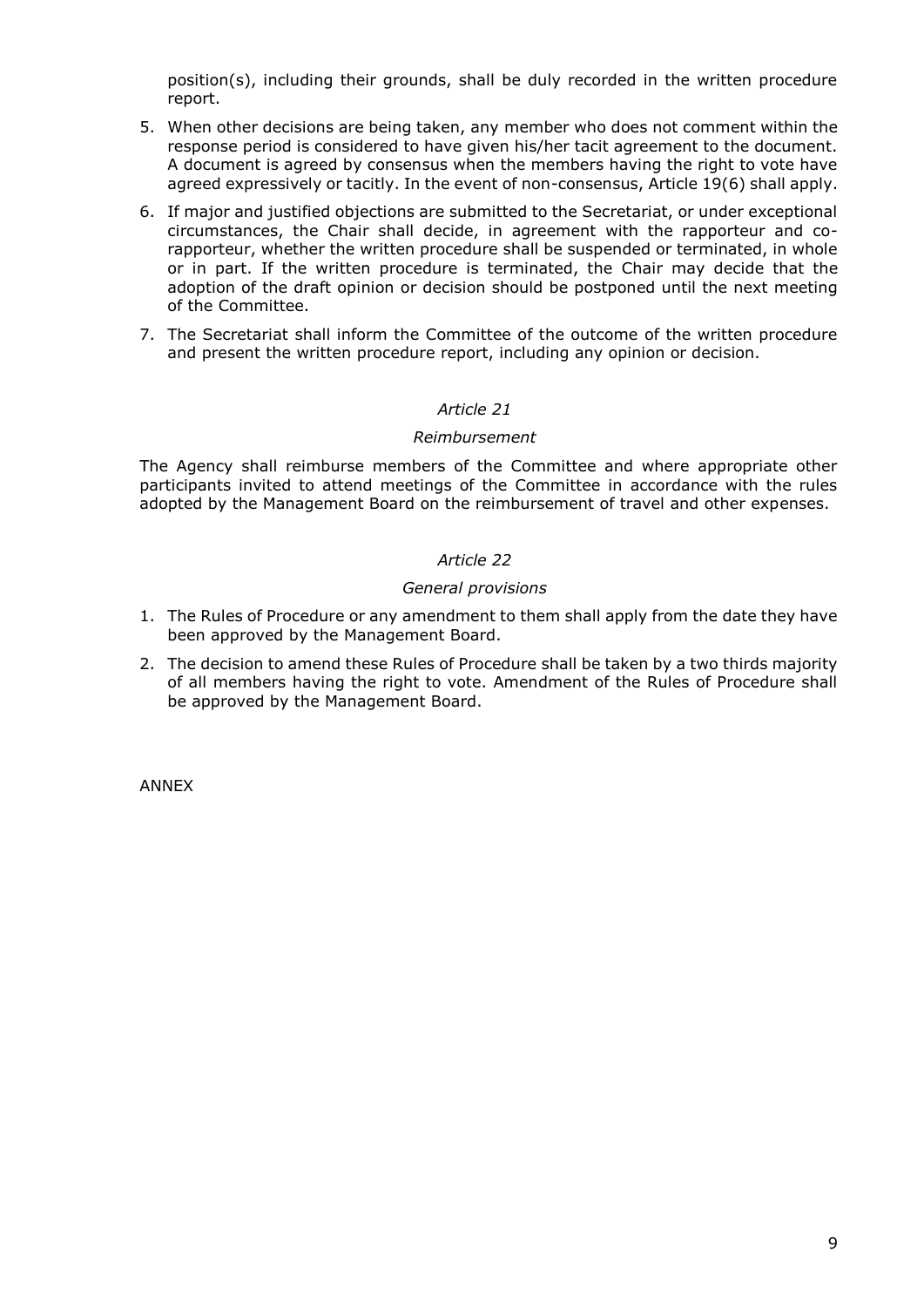position(s), including their grounds, shall be duly recorded in the written procedure report.

- 5. When other decisions are being taken, any member who does not comment within the response period is considered to have given his/her tacit agreement to the document. A document is agreed by consensus when the members having the right to vote have agreed expressively or tacitly. In the event of non-consensus, Article 19(6) shall apply.
- 6. If major and justified objections are submitted to the Secretariat, or under exceptional circumstances, the Chair shall decide, in agreement with the rapporteur and corapporteur, whether the written procedure shall be suspended or terminated, in whole or in part. If the written procedure is terminated, the Chair may decide that the adoption of the draft opinion or decision should be postponed until the next meeting of the Committee.
- 7. The Secretariat shall inform the Committee of the outcome of the written procedure and present the written procedure report, including any opinion or decision.

## *Article 21*

### *Reimbursement*

The Agency shall reimburse members of the Committee and where appropriate other participants invited to attend meetings of the Committee in accordance with the rules adopted by the Management Board on the reimbursement of travel and other expenses.

## *Article 22*

### *General provisions*

- 1. The Rules of Procedure or any amendment to them shall apply from the date they have been approved by the Management Board.
- 2. The decision to amend these Rules of Procedure shall be taken by a two thirds majority of all members having the right to vote. Amendment of the Rules of Procedure shall be approved by the Management Board.

ANNEX